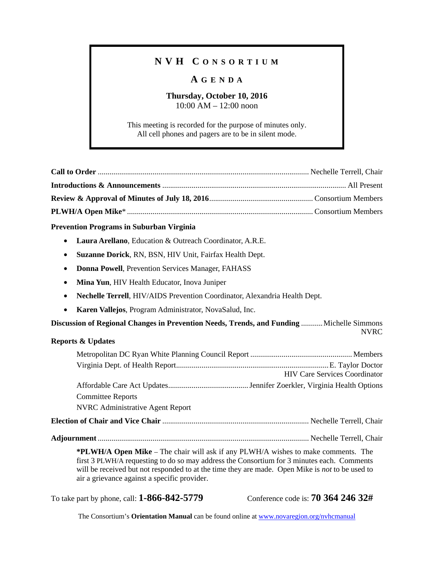## **N V H C O N S O R T I U M**

## **A G E N D A**

### **Thursday, October 10, 2016**  10:00 AM – 12:00 noon

This meeting is recorded for the purpose of minutes only. All cell phones and pagers are to be in silent mode.

#### **Prevention Programs in Suburban Virginia**

- **Laura Arellano**, Education & Outreach Coordinator, A.R.E.
- **Suzanne Dorick**, RN, BSN, HIV Unit, Fairfax Health Dept.
- **Donna Powell**, Prevention Services Manager, FAHASS
- **Mina Yun**, HIV Health Educator, Inova Juniper
- **Nechelle Terrell**, HIV/AIDS Prevention Coordinator, Alexandria Health Dept.
- **Karen Vallejos**, Program Administrator, NovaSalud, Inc.

**Discussion of Regional Changes in Prevention Needs, Trends, and Funding** ........... Michelle Simmons NVRC

| <b>Reports &amp; Updates</b>                                                                                                                                                                                                                                                                                                              |                                      |  |  |
|-------------------------------------------------------------------------------------------------------------------------------------------------------------------------------------------------------------------------------------------------------------------------------------------------------------------------------------------|--------------------------------------|--|--|
|                                                                                                                                                                                                                                                                                                                                           |                                      |  |  |
|                                                                                                                                                                                                                                                                                                                                           | <b>HIV Care Services Coordinator</b> |  |  |
|                                                                                                                                                                                                                                                                                                                                           |                                      |  |  |
| <b>Committee Reports</b>                                                                                                                                                                                                                                                                                                                  |                                      |  |  |
| <b>NVRC</b> Administrative Agent Report                                                                                                                                                                                                                                                                                                   |                                      |  |  |
|                                                                                                                                                                                                                                                                                                                                           |                                      |  |  |
|                                                                                                                                                                                                                                                                                                                                           |                                      |  |  |
| <b>*PLWH/A Open Mike</b> – The chair will ask if any PLWH/A wishes to make comments. The<br>first 3 PLWH/A requesting to do so may address the Consortium for 3 minutes each. Comments<br>will be received but not responded to at the time they are made. Open Mike is not to be used to<br>air a grievance against a specific provider. |                                      |  |  |

To take part by phone, call: **1-866-842-5779** Conference code is: **70 364 246 32#**

The Consortium's **Orientation Manual** can be found online at www.novaregion.org/nvhcmanual